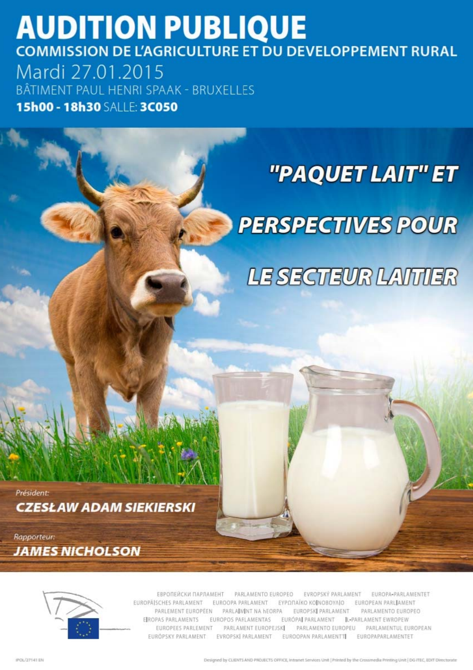## **AUDITION PUBLIQUE** COMMISSION DE L'AGRICULTURE ET DU DEVELOPPEMENT RURAL Mardi 27.01.2015

BÂTIMENT PAUL HENRI SPAAK - BRUXELLES 15h00 - 18h30 SALLE: 3C050

# "PAQUET LAIT" ET

# **PERSPECTIVES POUR**

LE SECTEUR LAITUER

Président: **CZESŁAW ADAM SIEKIERSKI** 

Rapporteur: **JAMES NICHOLSON** 



ЕВРОПЕЙСКИ ПАРЛАМЕНТ PARLAMENTO EUROPEO EVROPSKÝ PARLAMENT EUROPA-PARLAMENTET EUROPÄISCHES PARLAMENT EUROOPA PARLAMENT EYPOΠAÏKO KOINOBOYAIO EUROPEAN PARLIAMENT PARLEMENT EUROPÉEN PARLAIMINT NA HEORPA EUROPSKI PARLAMENT PARLAMENTO EUROPEO EIROPAS PARLAMENTS EUROPOS PARLAMENTAS EURÓPAI PARLAMENT IL-PARLAMENT EWROPEW EUROPEES PARLEMENT PARLAMENT EUROPEJSKI PARLAMENTO EUROPEU PARLAMENTUL EUROPEAN EUROPSKY PARLAMENT EVROPSKI PARLAMENT **EUROOPAN PARLAMENTTI** EUROPAPARLAMENTET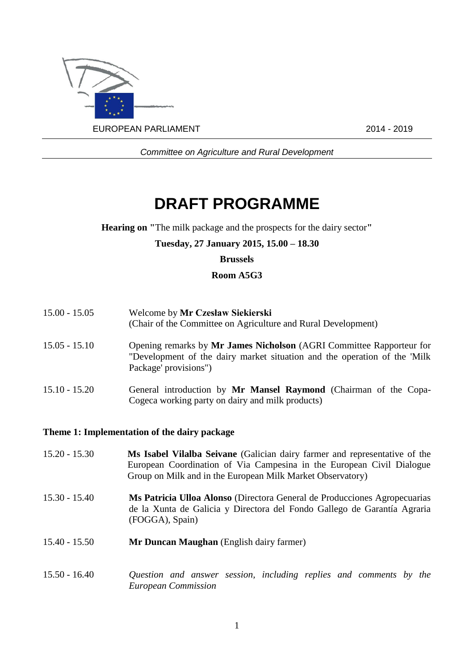

*Committee on Agriculture and Rural Development*

## **DRAFT PROGRAMME**

**Hearing on "**The milk package and the prospects for the dairy sector**"**

#### **Tuesday, 27 January 2015, 15.00 – 18.30**

#### **Brussels**

#### **Room A5G3**

- 15.00 15.05 Welcome by **Mr Czesław Siekierski** (Chair of the Committee on Agriculture and Rural Development)
- 15.05 15.10 Opening remarks by **Mr James Nicholson** (AGRI Committee Rapporteur for "Development of the dairy market situation and the operation of the 'Milk Package' provisions")
- 15.10 15.20 General introduction by **Mr Mansel Raymond** (Chairman of the Copa-Cogeca working party on dairy and milk products)

#### **Theme 1: Implementation of the dairy package**

- 15.20 15.30 **Ms Isabel Vilalba Seivane** (Galician dairy farmer and representative of the European Coordination of Via Campesina in the European Civil Dialogue Group on Milk and in the European Milk Market Observatory)
- 15.30 15.40 **Ms Patricia Ulloa Alonso** (Directora General de Producciones Agropecuarias de la Xunta de Galicia y Directora del Fondo Gallego de Garantía Agraria (FOGGA), Spain)
- 15.40 15.50 **Mr Duncan Maughan** (English dairy farmer)
- 15.50 16.40 *Question and answer session, including replies and comments by the European Commission*